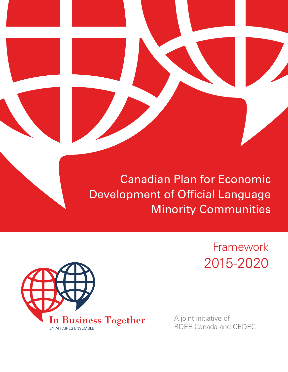

# Canadian Plan for Economic Development of Official Language Minority Communities

Framework 2015-2020



A joint initiative of RDÉE Canada and CEDEC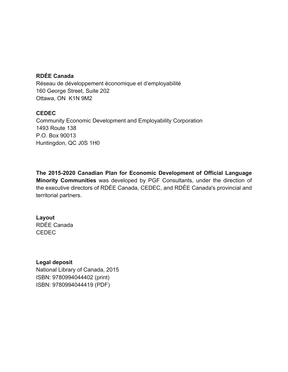## **RDÉE Canada**

Réseau de développement économique et d'employabilité 160 George Street, Suite 202 Ottawa, ON K1N 9M2

#### **CEDEC**

Community Economic Development and Employability Corporation 1493 Route 138 P.O. Box 90013 Huntingdon, QC J0S 1H0

**The 2015-2020 Canadian Plan for Economic Development of Official Language Minority Communities** was developed by PGF Consultants, under the direction of the executive directors of RDÉE Canada, CEDEC, and RDÉE Canada's provincial and territorial partners.

## **Layout**

RDÉE Canada CEDEC

#### **Legal deposit**

National Library of Canada, 2015 ISBN: 9780994044402 (print) ISBN: 9780994044419 (PDF)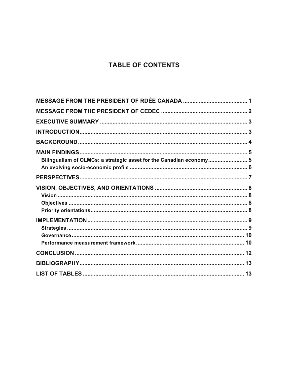# **TABLE OF CONTENTS**

| Bilingualism of OLMCs: a strategic asset for the Canadian economy 5 |  |
|---------------------------------------------------------------------|--|
|                                                                     |  |
|                                                                     |  |
|                                                                     |  |
|                                                                     |  |
|                                                                     |  |
|                                                                     |  |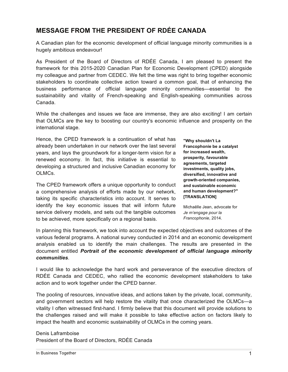# **MESSAGE FROM THE PRESIDENT OF RDÉE CANADA**

A Canadian plan for the economic development of official language minority communities is a hugely ambitious endeavour!

As President of the Board of Directors of RDÉE Canada, I am pleased to present the framework for this 2015-2020 Canadian Plan for Economic Development (CPED) alongside my colleague and partner from CEDEC. We felt the time was right to bring together economic stakeholders to coordinate collective action toward a common goal, that of enhancing the business performance of official language minority communities—essential to the sustainability and vitality of French-speaking and English-speaking communities across Canada.

While the challenges and issues we face are immense, they are also exciting! I am certain that OLMCs are the key to boosting our country's economic influence and prosperity on the international stage.

Hence, the CPED framework is a continuation of what has already been undertaken in our network over the last several years, and lays the groundwork for a longer-term vision for a renewed economy. In fact, this initiative is essential to developing a structured and inclusive Canadian economy for OLMCs.

The CPED framework offers a unique opportunity to conduct a comprehensive analysis of efforts made by our network, taking its specific characteristics into account. It serves to identify the key economic issues that will inform future service delivery models, and sets out the tangible outcomes to be achieved, more specifically on a regional basis.

**"Why shouldn't La Francophonie be a catalyst for increased wealth, prosperity, favourable agreements, targeted investments, quality jobs, diversified, innovative and growth-oriented companies, and sustainable economic and human development?" [TRANSLATION]**

Michaëlle Jean, advocate for *Je m'engage pour la Francophonie*, 2014.

In planning this framework, we took into account the expected objectives and outcomes of the various federal programs. A national survey conducted in 2014 and an economic development analysis enabled us to identify the main challenges. The results are presented in the document entitled *Portrait of the economic development of official language minority communities*.

I would like to acknowledge the hard work and perseverance of the executive directors of RDÉE Canada and CEDEC, who rallied the economic development stakeholders to take action and to work together under the CPED banner.

The pooling of resources, innovative ideas, and actions taken by the private, local, community, and government sectors will help restore the vitality that once characterized the OLMCs—a vitality I often witnessed first-hand. I firmly believe that this document will provide solutions to the challenges raised and will make it possible to take effective action on factors likely to impact the health and economic sustainability of OLMCs in the coming years.

Denis Laframboise President of the Board of Directors, RDÉE Canada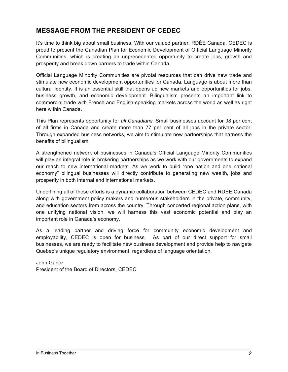# **MESSAGE FROM THE PRESIDENT OF CEDEC**

It's time to think big about small business. With our valued partner, RDÉE Canada, CEDEC is proud to present the Canadian Plan for Economic Development of Official Language Minority Communities, which is creating an unprecedented opportunity to create jobs, growth and prosperity and break down barriers to trade within Canada.

Official Language Minority Communities are pivotal resources that can drive new trade and stimulate new economic development opportunities for Canada. Language is about more than cultural identity. It is an essential skill that opens up new markets and opportunities for jobs, business growth, and economic development. Bilingualism presents an important link to commercial trade with French and English-speaking markets across the world as well as right here within Canada.

This Plan represents opportunity for *all Canadians.* Small businesses account for 98 per cent of all firms in Canada and create more than 77 per cent of all jobs in the private sector. Through expanded business networks, we aim to stimulate new partnerships that harness the benefits of bilingualism.

A strengthened network of businesses in Canada's Official Language Minority Communities will play an integral role in brokering partnerships as we work with our governments to expand our reach to new international markets. As we work to build "one nation and one national economy" bilingual businesses will directly contribute to generating new wealth, jobs and prosperity in both internal and international markets.

Underlining all of these efforts is a dynamic collaboration between CEDEC and RDÉE Canada along with government policy makers and numerous stakeholders in the private, community, and education sectors from across the country. Through concerted regional action plans, with one unifying national vision, we will harness this vast economic potential and play an important role in Canada's economy.

As a leading partner and driving force for community economic development and employability, CEDEC is open for business. As part of our direct support for small businesses, we are ready to facilitate new business development and provide help to navigate Quebec's unique regulatory environment, regardless of language orientation.

John Gancz President of the Board of Directors, CEDEC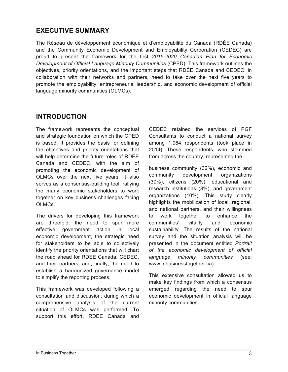## **EXECUTIVE SUMMARY**

The Réseau de développement économique et d'employabilité du Canada (RDÉE Canada) and the Community Economic Development and Employability Corporation (CEDEC) are proud to present the framework for the first *2015-2020 Canadian Plan for Economic Development of Official Language Minority Communities* (CPED). This framework outlines the objectives, priority orientations, and the important steps that RDÉE Canada and CEDEC, in collaboration with their networks and partners, need to take over the next five years to promote the employability, entrepreneurial leadership, and economic development of official language minority communities (OLMCs).

## **INTRODUCTION**

The framework represents the conceptual and strategic foundation on which the CPED is based. It provides the basis for defining the objectives and priority orientations that will help determine the future roles of RDÉE Canada and CEDEC, with the aim of promoting the economic development of OLMCs over the next five years. It also serves as a consensus-building tool, rallying the many economic stakeholders to work together on key business challenges facing OLMCs.

The drivers for developing this framework are threefold: the need to spur more effective government action in local economic development, the strategic need for stakeholders to be able to collectively identify the priority orientations that will chart the road ahead for RDÉE Canada, CEDEC, and their partners, and, finally, the need to establish a harmonized governance model to simplify the reporting process.

This framework was developed following a consultation and discussion, during which a comprehensive analysis of the current situation of OLMCs was performed. To support this effort, RDÉE Canada and

CEDEC retained the services of PGF Consultants to conduct a national survey among 1,064 respondents (took place in 2014). These respondents, who stemmed from across the country, represented the

business community (32%), economic and community development organizations (30%), citizens (20%), educational and research institutions (8%), and government organizations (10%). This study clearly highlights the mobilization of local, regional, and national partners, and their willingness to work together to enhance the communities' vitality and economic sustainability. The results of the national survey and the situation analysis will be presented in the document entitled *Portrait of the economic development of official language minority communities* (see: www.inbusinesstogether.ca)

This extensive consultation allowed us to make key findings from which a consensus emerged regarding the need to spur economic development in official language minority communities.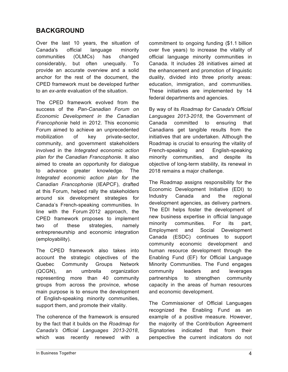# **BACKGROUND**

Over the last 10 years, the situation of Canada's official language minority communities (OLMCs) has changed considerably, but often unequally. To provide an accurate overview and a solid anchor for the rest of the document, the CPED framework must be developed further to an *ex-ante* evaluation of the situation.

The CPED framework evolved from the success of the *Pan-Canadian Forum on Economic Development in the Canadian Francophonie* held in 2012. This economic Forum aimed to achieve an unprecedented mobilization of key private-sector, community, and government stakeholders involved in the *Integrated economic action plan for the Canadian Francophonie*. It also aimed to create an opportunity for dialogue to advance greater knowledge. The *Integrated economic action plan for the Canadian Francophonie* (IEAPCF), drafted at this Forum, helped rally the stakeholders around six development strategies for Canada's French-speaking communities. In line with the Forum 2012 approach, the CPED framework proposes to implement two of these strategies, namely entrepreneurship and economic integration (employability).

The CPED framework also takes into account the strategic objectives of the Quebec Community Groups Network (QCGN), an umbrella organization representing more than 40 community groups from across the province, whose main purpose is to ensure the development of English-speaking minority communities, support them, and promote their vitality.

The coherence of the framework is ensured by the fact that it builds on the *Roadmap for Canada's Official Languages 2013-2018*, which was recently renewed with a commitment to ongoing funding (\$1.1 billion over five years) to increase the vitality of official language minority communities in Canada. It includes 28 initiatives aimed at the enhancement and promotion of linguistic duality, divided into three priority areas: education, immigration, and communities. These initiatives are implemented by 14 federal departments and agencies.

By way of its *Roadmap for Canada's Official Languages 2013-2018*, the Government of Canada committed to ensuring that Canadians get tangible results from the initiatives that are undertaken. Although the Roadmap is crucial to ensuring the vitality of French-speaking and English-speaking minority communities, and despite its objective of long-term stability, its renewal in 2018 remains a major challenge.

The Roadmap assigns responsibility for the Economic Development Initiative (EDI) to Industry Canada and the regional development agencies, as delivery partners. The EDI helps foster the development of new business expertise in official language minority communities. For its part, Employment and Social Development Canada (ESDC) continues to support community economic development and human resource development through the Enabling Fund (EF) for Official Language Minority Communities. The Fund engages community leaders and leverages partnerships to strengthen community capacity in the areas of human resources and economic development.

The Commissioner of Official Languages recognized the Enabling Fund as an example of a positive measure. However, the majority of the Contribution Agreement Signatories indicated that from their perspective the current indicators do not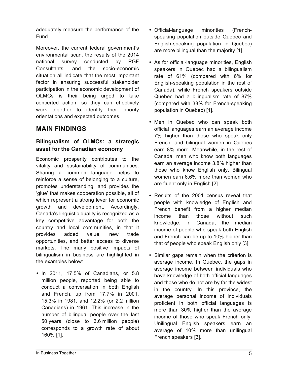adequately measure the performance of the Fund.

Moreover, the current federal government's environmental scan, the results of the 2014 national survey conducted by PGF Consultants, and the socio-economic situation all indicate that the most important factor in ensuring successful stakeholder participation in the economic development of OLMCs is their being urged to take concerted action, so they can effectively work together to identify their priority orientations and expected outcomes.

## **MAIN FINDINGS**

## **Bilingualism of OLMCs: a strategic asset for the Canadian economy**

Economic prosperity contributes to the vitality and sustainability of communities. Sharing a common language helps to reinforce a sense of belonging to a culture, promotes understanding, and provides the 'glue' that makes cooperation possible, all of which represent a strong lever for economic growth and development. Accordingly, Canada's linguistic duality is recognized as a key competitive advantage for both the country and local communities, in that it provides added value, new trade opportunities, and better access to diverse markets. The many positive impacts of bilingualism in business are highlighted in the examples below:

• In 2011, 17.5% of Canadians, or 5.8 million people, reported being able to conduct a conversation in both English and French, up from 17.7% in 2001, 15.3% in 1981, and 12.2% (or 2.2 million Canadians) in 1961. This increase in the number of bilingual people over the last 50 years (close to 3.6 million people) corresponds to a growth rate of about 160% [1].

- Official-language minorities (Frenchspeaking population outside Quebec and English-speaking population in Quebec) are more bilingual than the majority [1].
- As for official-language minorities, English speakers in Quebec had a bilingualism rate of 61% (compared with 6% for English-speaking population in the rest of Canada), while French speakers outside Quebec had a bilingualism rate of 87% (compared with 38% for French-speaking population in Quebec) [1].
- Men in Quebec who can speak both official languages earn an average income 7% higher than those who speak only French, and bilingual women in Quebec earn 8% more. Meanwhile, in the rest of Canada, men who know both languages earn an average income 3.8% higher than those who know English only. Bilingual women earn 6.6% more than women who are fluent only in English [2].
- Results of the 2001 census reveal that people with knowledge of English and French benefit from a higher median income than those without such knowledge. In Canada, the median income of people who speak both English and French can be up to 10% higher than that of people who speak English only [3].
- Similar gaps remain when the criterion is average income. In Quebec, the gaps in average income between individuals who have knowledge of both official languages and those who do not are by far the widest in the country. In this province, the average personal income of individuals proficient in both official languages is more than 30% higher than the average income of those who speak French only. Unilingual English speakers earn an average of 10% more than unilingual French speakers [3].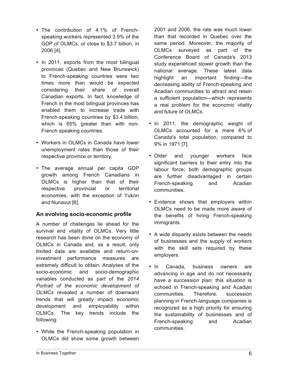- The contribution of 4.1% of Frenchspeaking workers represented 3.9% of the GDP of OLMCs, or close to \$3.7 billion, in 2006 [4].
- In 2011, exports from the most bilingual provinces (Quebec and New Brunswick) to French-speaking countries were two times more than would be expected considering their share of overall Canadian exports. In fact, knowledge of French in the most bilingual provinces has enabled them to increase trade with French-speaking countries by \$3.4 billion, which is 65% greater than with non-French speaking countries.
- Workers in OLMCs in Canada have lower unemployment rates than those of their respective province or territory.
- The average annual per capita GDP growth among French Canadians in OLMCs is higher than that of their respective provincial or territorial economies, with the exception of Yukon and Nunavut [6].

#### **An evolving socio-economic profile**

A number of challenges lie ahead for the survival and vitality of OLMCs. Very little research has been done on the economy of OLMCs in Canada and, as a result, only limited data are available and return-oninvestment performance measures are extremely difficult to obtain. Analyses of the socio-economic and socio-demographic variables conducted as part of the *2014 Portrait of the economic development of OLMCs* revealed a number of downward trends that will greatly impact economic development and employability within OLMCs. The key trends include the following:

• While the French-speaking population in OLMCs did show some growth between

2001 and 2006, the rate was much lower than that recorded in Quebec over the same period. Moreover, the majority of OLMCs surveyed as part of the Conference Board of Canada's 2013 study experienced slower growth than the national average. These latest data highlight an important finding—the decreasing ability of French-speaking and Acadian communities to attract and retain a sufficient population—which represents a real problem for the economic vitality and future of OLMCs.

- In 2011, the demographic weight of OLMCs accounted for a mere 6% of Canada's total population, compared to 9% in 1971 [7].
- Older and younger workers face significant barriers to their entry into the labour force; both demographic groups are further disadvantaged in certain French-speaking and Acadian communities.
- Evidence shows that employers within OLMCs need to be made more aware of the benefits of hiring French-speaking immigrants.
- A wide disparity exists between the needs of businesses and the supply of workers with the skill sets required by these employers.
- In Canada, business owners are advancing in age and do not necessarily have a succession plan; this situation is echoed in French-speaking and Acadian communities. Therefore, succession planning in French-language companies is recognized as a high priority for ensuring the sustainability of businesses and of French-speaking and Acadian communities.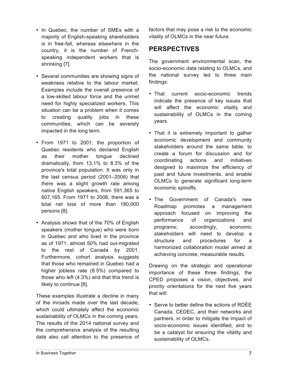- In Quebec, the number of SMEs with a majority of English-speaking shareholders is in free-fall, whereas elsewhere in the country, it is the number of Frenchspeaking independent workers that is shrinking [7].
- Several communities are showing signs of weakness relative to the labour market. Examples include the overall presence of a low-skilled labour force and the unmet need for highly specialized workers. This situation can be a problem when it comes to creating quality jobs in these communities, which can be severely impacted in the long term.
- From 1971 to 2001, the proportion of Quebec residents who declared English as their mother tongue declined dramatically, from 13.1% to 8.3% of the province's total population. It was only in the last census period (2001–2006) that there was a slight growth rate among native English speakers, from 591,365 to 607,165. From 1971 to 2006, there was a total net loss of more than 180,000 persons [8].
- Analysis shows that of the 70% of English speakers (mother tongue) who were born in Quebec and who lived in the province as of 1971, almost 50% had out-migrated to the rest of Canada by 2001. Furthermore, cohort analysis suggests that those who remained in Quebec had a higher jobless rate (8.5%) compared to those who left (4.3%) and that this trend is likely to continue [8].

These examples illustrate a decline in many of the inroads made over the last decade, which could ultimately affect the economic sustainability of OLMCs in the coming years. The results of the 2014 national survey and the comprehensive analysis of the resulting data also call attention to the presence of factors that may pose a risk to the economic vitality of OLMCs in the near future.

# **PERSPECTIVES**

The government environmental scan, the socio-economic data relating to OLMCs, and the national survey led to three main findings:

- That current socio-economic trends indicate the presence of key issues that will affect the economic vitality and sustainability of OLMCs in the coming years.
- That it is extremely important to gather economic development and community stakeholders around the same table, to create a forum for discussion and for coordinating actions and initiatives designed to maximize the efficiency of past and future investments, and enable OLMCs to generate significant long-term economic spinoffs.
- The Government of Canada's new Roadmap promotes a management approach focused on improving the performance of organizations and programs; accordingly, economic stakeholders will need to develop a structure and procedures for a harmonized collaboration model aimed at achieving concrete, measurable results.

Drawing on the strategic and operational importance of these three findings, the CPED proposes a vision, objectives, and priority orientations for the next five years that will:

• Serve to better define the actions of RDÉE Canada, CEDEC, and their networks and partners, in order to mitigate the impact of socio-economic issues identified, and to be a catalyst for ensuring the vitality and sustainability of OLMCs.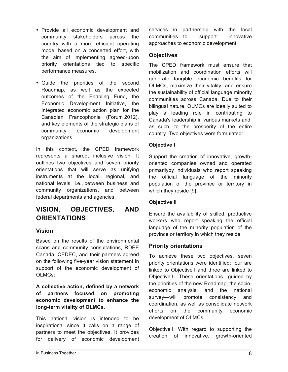- Provide all economic development and community stakeholders across the country with a more efficient operating model based on a concerted effort, with the aim of implementing agreed-upon priority orientations tied to specific performance measures.
- Guide the priorities of the second Roadmap, as well as the expected outcomes of the Enabling Fund, the Economic Development Initiative, the Integrated economic action plan for the Canadian Francophonie (Forum 2012), and key elements of the strategic plans of community economic development organizations.

In this context, the CPED framework represents a shared, inclusive vision. It outlines two objectives and seven priority orientations that will serve as unifying instruments at the local, regional, and national levels, i.e., between business and community organizations, and between federal departments and agencies.

# **VISION, OBJECTIVES, AND ORIENTATIONS**

#### **Vision**

Based on the results of the environmental scans and community consultations, RDÉE Canada, CEDEC, and their partners agreed on the following five-year vision statement in support of the economic development of OLMCs:

**A collective action, defined by a network of partners focused on promoting economic development to enhance the long-term vitality of OLMCs.**

This national vision is intended to be inspirational since it calls on a range of partners to meet the objectives. It provides for delivery of economic development services—in partnership with the local communities—to support innovative approaches to economic development.

#### **Objectives**

The CPED framework must ensure that mobilization and coordination efforts will generate tangible economic benefits for OLMCs, maximize their vitality, and ensure the sustainability of official language minority communities across Canada. Due to their bilingual nature, OLMCs are ideally suited to play a leading role in contributing to Canada's leadership in various markets and, as such, to the prosperity of the entire country. Two objectives were formulated:

#### **Objective I**

Support the creation of innovative, growthoriented companies owned and operated primarilyby individuals who report speaking the official language of the minority population of the province or territory in which they reside [9].

#### **Objective II**

Ensure the availability of skilled, productive workers who report speaking the official language of the minority population of the province or territory in which they reside.

#### **Priority orientations**

To achieve these two objectives, seven priority orientations were identified: four are linked to Objective I and three are linked to Objective II. These orientations—guided by the priorities of the new Roadmap, the socioeconomic analysis, and the national survey—will promote consistency and coordination, as well as consolidate network efforts on the community economic development of OLMCs.

Objective I: With regard to supporting the creation of innovative, growth-oriented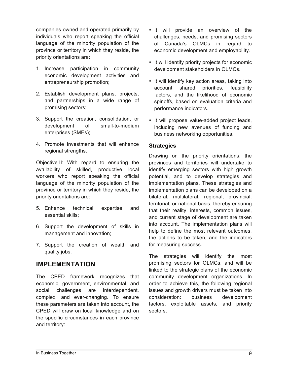companies owned and operated primarily by individuals who report speaking the official language of the minority population of the province or territory in which they reside, the priority orientations are:

- 1. Increase participation in community economic development activities and entrepreneurship promotion;
- 2. Establish development plans, projects, and partnerships in a wide range of promising sectors;
- 3. Support the creation, consolidation, or development of small-to-medium enterprises (SMEs);
- 4. Promote investments that will enhance regional strengths.

Objective II: With regard to ensuring the availability of skilled, productive local workers who report speaking the official language of the minority population of the province or territory in which they reside, the priority orientations are:

- 5. Enhance technical expertise and essential skills;
- 6. Support the development of skills in management and innovation;
- 7. Support the creation of wealth and quality jobs.

## **IMPLEMENTATION**

The CPED framework recognizes that economic, government, environmental, and social challenges are interdependent, complex, and ever-changing. To ensure these parameters are taken into account, the CPED will draw on local knowledge and on the specific circumstances in each province and territory:

- It will provide an overview of the challenges, needs, and promising sectors of Canada's OLMCs in regard to economic development and employability.
- It will identify priority projects for economic development stakeholders in OLMCs.
- It will identify key action areas, taking into account shared priorities, feasibility factors, and the likelihood of economic spinoffs, based on evaluation criteria and performance indicators.
- It will propose value-added project leads, including new avenues of funding and business networking opportunities.

#### **Strategies**

Drawing on the priority orientations, the provinces and territories will undertake to identify emerging sectors with high growth potential, and to develop strategies and implementation plans. These strategies and implementation plans can be developed on a bilateral, multilateral, regional, provincial, territorial, or national basis, thereby ensuring that their reality, interests, common issues, and current stage of development are taken into account. The implementation plans will help to define the most relevant outcomes. the actions to be taken, and the indicators for measuring success.

The strategies will identify the most promising sectors for OLMCs, and will be linked to the strategic plans of the economic community development organizations. In order to achieve this, the following regional issues and growth drivers must be taken into consideration: business development factors, exploitable assets, and priority sectors.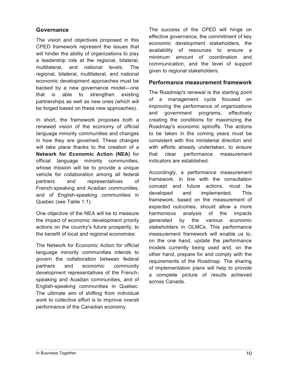#### **Governance**

The vision and objectives proposed in this CPED framework represent the issues that will hinder the ability of organizations to play a leadership role at the regional, bilateral, multilateral, and national levels. The regional, bilateral, multilateral, and national economic development approaches must be backed by a new governance model—one that is able to strengthen existing partnerships as well as new ones (which will be forged based on these new approaches).

In short, the framework proposes both a renewed vision of the economy of official language minority communities and changes in how they are governed. These changes will take place thanks to the creation of a **Network for Economic Action (NEA)** for official language minority communities, whose mission will be to provide a unique vehicle for collaboration among all federal partners and representatives of French-speaking and Acadian communities, and of English-speaking communities in Quebec (see Table 1.1).

One objective of the NEA will be to measure the impact of economic development priority actions on the country's future prosperity, to the benefit of local and regional economies:

The Network for Economic Action for official language minority communities intends to govern the collaboration between federal partners and economic community development representatives of the Frenchspeaking and Acadian communities, and of English-speaking communities in Quebec. The ultimate aim of shifting from individual work to collective effort is to improve overall performance of the Canadian economy.

The success of the CPED will hinge on effective governance, the commitment of key economic development stakeholders, the availability of resources to ensure a minimum amount of coordination and communication, and the level of support given to regional stakeholders.

#### **Performance measurement framework**

The Roadmap's renewal is the starting point of a management cycle focused on improving the performance of organizations and government programs, effectively creating the conditions for maximizing the Roadmap's economic spinoffs. The actions to be taken in the coming years must be consistent with this ministerial direction and with efforts already undertaken, to ensure that clear performance measurement indicators are established.

Accordingly, a performance measurement framework, in line with the consultation concept and future actions, must be developed and implemented. This framework, based on the measurement of expected outcomes, should allow a more harmonious analysis of the impacts generated by the various economic stakeholders in OLMCs. This performance measurement framework will enable us to, on the one hand, update the performance models currently being used and, on the other hand, prepare for and comply with the requirements of the Roadmap. The sharing of implementation plans will help to provide a complete picture of results achieved across Canada.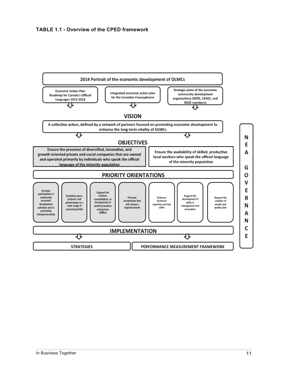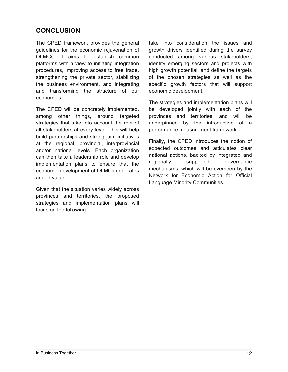# **CONCLUSION**

The CPED framework provides the general guidelines for the economic rejuvenation of OLMCs. It aims to establish common platforms with a view to initiating integration procedures, improving access to free trade, strengthening the private sector, stabilizing the business environment, and integrating and transforming the structure of our economies.

The CPED will be concretely implemented, among other things, around targeted strategies that take into account the role of all stakeholders at every level. This will help build partnerships and strong joint initiatives at the regional, provincial, interprovincial and/or national levels. Each organization can then take a leadership role and develop implementation plans to ensure that the economic development of OLMCs generates added value.

Given that the situation varies widely across provinces and territories, the proposed strategies and implementation plans will focus on the following:

take into consideration the issues and growth drivers identified during the survey conducted among various stakeholders; identify emerging sectors and projects with high growth potential; and define the targets of the chosen strategies as well as the specific growth factors that will support economic development.

The strategies and implementation plans will be developed jointly with each of the provinces and territories, and will be underpinned by the introduction of a performance measurement framework.

Finally, the CPED introduces the notion of expected outcomes and articulates clear national actions, backed by integrated and regionally supported governance mechanisms, which will be overseen by the Network for Economic Action for Official Language Minority Communities.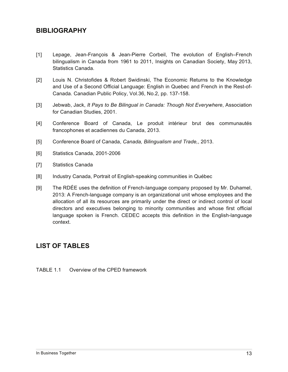## **BIBLIOGRAPHY**

- [1] Lepage, Jean-François & Jean-Pierre Corbeil, The evolution of English–French bilingualism in Canada from 1961 to 2011, Insights on Canadian Society, May 2013, Statistics Canada.
- [2] Louis N. Christofides & Robert Swidinski, The Economic Returns to the Knowledge and Use of a Second Official Language: English in Quebec and French in the Rest-of-Canada. Canadian Public Policy, Vol.36, No.2, pp. 137-158.
- [3] Jebwab, Jack, *It Pays to Be Bilingual in Canada: Though Not Everywhere*, Association for Canadian Studies, 2001.
- [4] Conference Board of Canada, Le produit intérieur brut des communautés francophones et acadiennes du Canada, 2013.
- [5] Conference Board of Canada, *Canada, Bilingualism and Trade,*, 2013.
- [6] Statistics Canada, 2001-2006
- [7] Statistics Canada
- [8] Industry Canada, Portrait of English-speaking communities in Québec
- [9] The RDÉE uses the definition of French-language company proposed by Mr. Duhamel, 2013: A French-language company is an organizational unit whose employees and the allocation of all its resources are primarily under the direct or indirect control of local directors and executives belonging to minority communities and whose first official language spoken is French. CEDEC accepts this definition in the English-language context.

## **LIST OF TABLES**

TABLE 1.1 Overview of the CPED framework